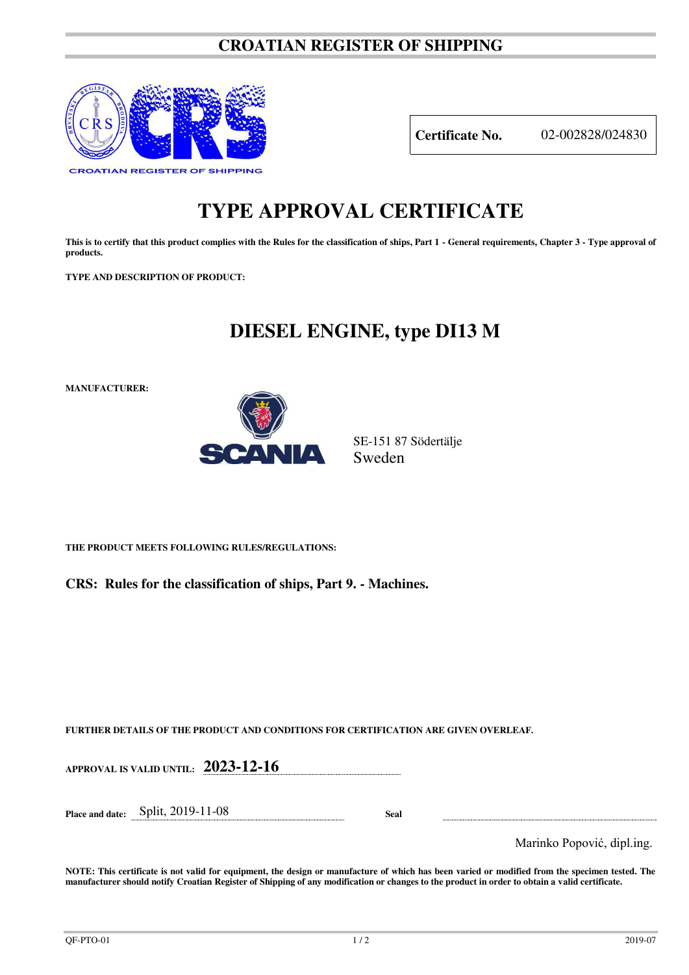## **CROATIAN REGISTER OF SHIPPING**



**Certificate No.** 02-002828/024830

## **TYPE APPROVAL CERTIFICATE**

**This is to certify that this product complies with the Rules for the classification of ships, Part 1 - General requirements, Chapter 3 - Type approval of products.** 

**TYPE AND DESCRIPTION OF PRODUCT:** 

## **DIESEL ENGINE, type DI13 M**

**MANUFACTURER:**



SE-151 87 Södertälje Sweden

**THE PRODUCT MEETS FOLLOWING RULES/REGULATIONS:**

**CRS: Rules for the classification of ships, Part 9. - Machines.**

**FURTHER DETAILS OF THE PRODUCT AND CONDITIONS FOR CERTIFICATION ARE GIVEN OVERLEAF.**

| APPROVAL IS VALID UNTIL: $2023-12-16$ |             |                            |
|---------------------------------------|-------------|----------------------------|
| Place and date: $Split$ , 2019-11-08  | <b>Seal</b> |                            |
|                                       |             | Marinko Popović, dipl.ing. |

**NOTE: This certificate is not valid for equipment, the design or manufacture of which has been varied or modified from the specimen tested. The manufacturer should notify Croatian Register of Shipping of any modification or changes to the product in order to obtain a valid certificate.**